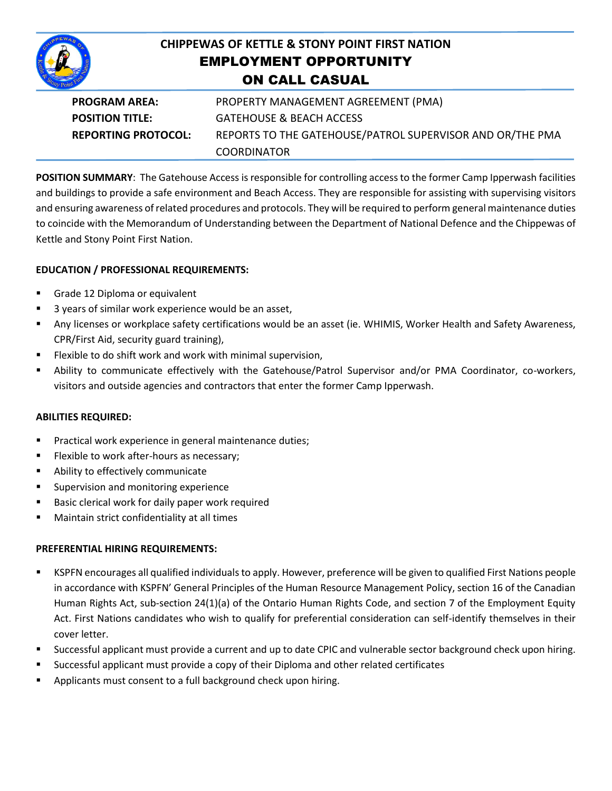

# **CHIPPEWAS OF KETTLE & STONY POINT FIRST NATION** EMPLOYMENT OPPORTUNITY ON CALL CASUAL

| <b>PROGRAM AREA:</b>       | PROPERTY MANAGEMENT AGREEMENT (PMA)                       |
|----------------------------|-----------------------------------------------------------|
| <b>POSITION TITLE:</b>     | <b>GATEHOUSE &amp; BEACH ACCESS</b>                       |
| <b>REPORTING PROTOCOL:</b> | REPORTS TO THE GATEHOUSE/PATROL SUPERVISOR AND OR/THE PMA |
|                            | <b>COORDINATOR</b>                                        |

**POSITION SUMMARY**: The Gatehouse Access is responsible for controlling access to the former Camp Ipperwash facilities and buildings to provide a safe environment and Beach Access. They are responsible for assisting with supervising visitors and ensuring awareness of related procedures and protocols. They will be required to perform general maintenance duties to coincide with the Memorandum of Understanding between the Department of National Defence and the Chippewas of Kettle and Stony Point First Nation.

## **EDUCATION / PROFESSIONAL REQUIREMENTS:**

- Grade 12 Diploma or equivalent
- 3 years of similar work experience would be an asset,
- Any licenses or workplace safety certifications would be an asset (ie. WHIMIS, Worker Health and Safety Awareness, CPR/First Aid, security guard training),
- Flexible to do shift work and work with minimal supervision,
- Ability to communicate effectively with the Gatehouse/Patrol Supervisor and/or PMA Coordinator, co-workers, visitors and outside agencies and contractors that enter the former Camp Ipperwash.

#### **ABILITIES REQUIRED:**

- Practical work experience in general maintenance duties;
- Flexible to work after-hours as necessary;
- **Ability to effectively communicate**
- **Supervision and monitoring experience**
- **Basic clerical work for daily paper work required**
- Maintain strict confidentiality at all times

#### **PREFERENTIAL HIRING REQUIREMENTS:**

- KSPFN encourages all qualified individuals to apply. However, preference will be given to qualified First Nations people in accordance with KSPFN' General Principles of the Human Resource Management Policy, section 16 of the Canadian Human Rights Act, sub-section 24(1)(a) of the Ontario Human Rights Code, and section 7 of the Employment Equity Act. First Nations candidates who wish to qualify for preferential consideration can self-identify themselves in their cover letter.
- Successful applicant must provide a current and up to date CPIC and vulnerable sector background check upon hiring.
- Successful applicant must provide a copy of their Diploma and other related certificates
- Applicants must consent to a full background check upon hiring.